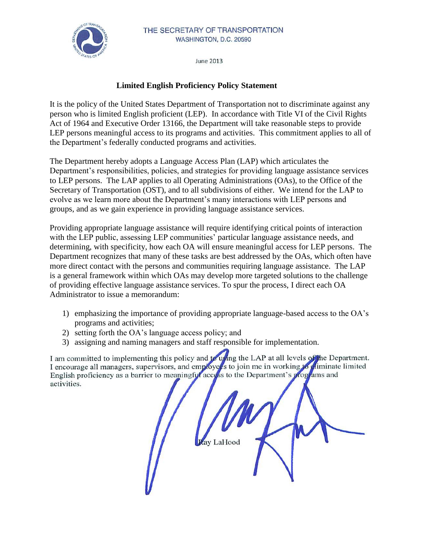

June 2013

## **Limited English Proficiency Policy Statement**

It is the policy of the United States Department of Transportation not to discriminate against any person who is limited English proficient (LEP). In accordance with Title VI of the Civil Rights Act of 1964 and Executive Order 13166, the Department will take reasonable steps to provide LEP persons meaningful access to its programs and activities. This commitment applies to all of the Department's federally conducted programs and activities.

The Department hereby adopts a Language Access Plan (LAP) which articulates the Department's responsibilities, policies, and strategies for providing language assistance services to LEP persons. The LAP applies to all Operating Administrations (OAs), to the Office of the Secretary of Transportation (OST), and to all subdivisions of either. We intend for the LAP to evolve as we learn more about the Department's many interactions with LEP persons and groups, and as we gain experience in providing language assistance services.

Providing appropriate language assistance will require identifying critical points of interaction with the LEP public, assessing LEP communities' particular language assistance needs, and determining, with specificity, how each OA will ensure meaningful access for LEP persons. The Department recognizes that many of these tasks are best addressed by the OAs, which often have more direct contact with the persons and communities requiring language assistance. The LAP is a general framework within which OAs may develop more targeted solutions to the challenge of providing effective language assistance services. To spur the process, I direct each OA Administrator to issue a memorandum:

- 1) emphasizing the importance of providing appropriate language-based access to the OA's programs and activities;
- 2) setting forth the OA's language access policy; and
- 3) assigning and naming managers and staff responsible for implementation.

I am committed to implementing this policy and to using the LAP at all levels of the Department.<br>I encourage all managers, supervisors, and employees to join me in working to chiminate limited English proficiency as a barrier to meaningful access to the Department's programs and activities.

av LaHood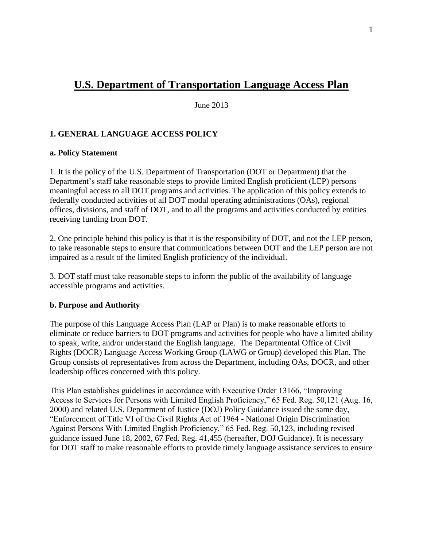# **U.S. Department of Transportation Language Access Plan**

June 2013

## **1. GENERAL LANGUAGE ACCESS POLICY**

### **a. Policy Statement**

1. It is the policy of the U.S. Department of Transportation (DOT or Department) that the Department's staff take reasonable steps to provide limited English proficient (LEP) persons meaningful access to all DOT programs and activities. The application of this policy extends to federally conducted activities of all DOT modal operating administrations (OAs), regional offices, divisions, and staff of DOT, and to all the programs and activities conducted by entities receiving funding from DOT.

2. One principle behind this policy is that it is the responsibility of DOT, and not the LEP person, to take reasonable steps to ensure that communications between DOT and the LEP person are not impaired as a result of the limited English proficiency of the individual.

3. DOT staff must take reasonable steps to inform the public of the availability of language accessible programs and activities.

### **b. Purpose and Authority**

The purpose of this Language Access Plan (LAP or Plan) is to make reasonable efforts to eliminate or reduce barriers to DOT programs and activities for people who have a limited ability to speak, write, and/or understand the English language. The Departmental Office of Civil Rights (DOCR) Language Access Working Group (LAWG or Group) developed this Plan. The Group consists of representatives from across the Department, including OAs, DOCR, and other leadership offices concerned with this policy.

This Plan establishes guidelines in accordance with Executive Order 13166, "Improving Access to Services for Persons with Limited English Proficiency," 65 Fed. Reg. 50,121 (Aug. 16, 2000) and related U.S. Department of Justice (DOJ) Policy Guidance issued the same day, "Enforcement of Title VI of the Civil Rights Act of 1964 - National Origin Discrimination Against Persons With Limited English Proficiency," 65 Fed. Reg. 50,123, including revised guidance issued June 18, 2002, 67 Fed. Reg. 41,455 (hereafter, DOJ Guidance). It is necessary for DOT staff to make reasonable efforts to provide timely language assistance services to ensure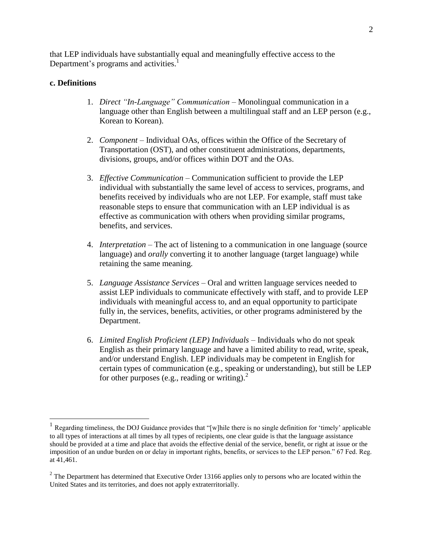that LEP individuals have substantially equal and meaningfully effective access to the Department's programs and activities.<sup>1</sup>

#### **c. Definitions**

- 1. *Direct "In-Language" Communication*  Monolingual communication in a language other than English between a multilingual staff and an LEP person (e.g., Korean to Korean).
- 2. *Component*  Individual OAs, offices within the Office of the Secretary of Transportation (OST), and other constituent administrations, departments, divisions, groups, and/or offices within DOT and the OAs.
- 3. *Effective Communication*  Communication sufficient to provide the LEP individual with substantially the same level of access to services, programs, and benefits received by individuals who are not LEP. For example, staff must take reasonable steps to ensure that communication with an LEP individual is as effective as communication with others when providing similar programs, benefits, and services.
- 4. *Interpretation –* The act of listening to a communication in one language (source language) and *orally* converting it to another language (target language) while retaining the same meaning.
- 5. *Language Assistance Services*  Oral and written language services needed to assist LEP individuals to communicate effectively with staff, and to provide LEP individuals with meaningful access to, and an equal opportunity to participate fully in, the services, benefits, activities, or other programs administered by the Department.
- 6. *Limited English Proficient (LEP) Individuals –* Individuals who do not speak English as their primary language and have a limited ability to read, write, speak, and/or understand English. LEP individuals may be competent in English for certain types of communication (e.g., speaking or understanding), but still be LEP for other purposes (e.g., reading or writing). $^{2}$

 1 Regarding timeliness, the DOJ Guidance provides that "[w]hile there is no single definition for 'timely' applicable to all types of interactions at all times by all types of recipients, one clear guide is that the language assistance should be provided at a time and place that avoids the effective denial of the service, benefit, or right at issue or the imposition of an undue burden on or delay in important rights, benefits, or services to the LEP person." 67 Fed. Reg. at 41,461.

 $2^{2}$  The Department has determined that Executive Order 13166 applies only to persons who are located within the United States and its territories, and does not apply extraterritorially.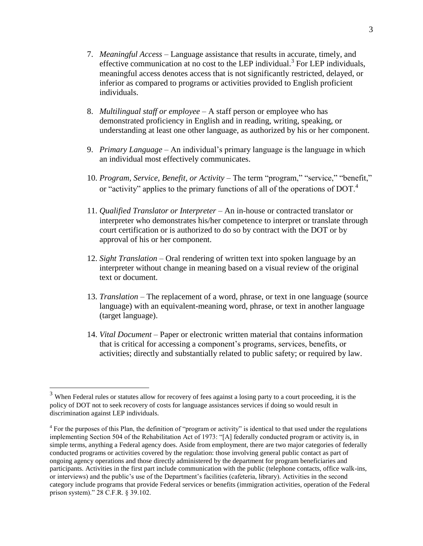- 7. *Meaningful Access –* Language assistance that results in accurate, timely, and effective communication at no cost to the LEP individual.<sup>3</sup> For LEP individuals, meaningful access denotes access that is not significantly restricted, delayed, or inferior as compared to programs or activities provided to English proficient individuals.
- 8. *Multilingual staff or employee –* A staff person or employee who has demonstrated proficiency in English and in reading, writing, speaking, or understanding at least one other language, as authorized by his or her component.
- 9. *Primary Language*  An individual's primary language is the language in which an individual most effectively communicates.
- 10. *Program, Service, Benefit, or Activity –* The term "program," "service," "benefit," or "activity" applies to the primary functions of all of the operations of DOT.<sup>4</sup>
- 11. *Qualified Translator or Interpreter –* An in-house or contracted translator or interpreter who demonstrates his/her competence to interpret or translate through court certification or is authorized to do so by contract with the DOT or by approval of his or her component.
- 12. *Sight Translation –* Oral rendering of written text into spoken language by an interpreter without change in meaning based on a visual review of the original text or document.
- 13. *Translation*  The replacement of a word, phrase, or text in one language (source language) with an equivalent-meaning word, phrase, or text in another language (target language).
- 14. *Vital Document*  Paper or electronic written material that contains information that is critical for accessing a component's programs, services, benefits, or activities; directly and substantially related to public safety; or required by law.

<sup>&</sup>lt;sup>3</sup> When Federal rules or statutes allow for recovery of fees against a losing party to a court proceeding, it is the policy of DOT not to seek recovery of costs for language assistances services if doing so would result in discrimination against LEP individuals.

<sup>&</sup>lt;sup>4</sup> For the purposes of this Plan, the definition of "program or activity" is identical to that used under the regulations implementing Section 504 of the Rehabilitation Act of 1973: "[A] federally conducted program or activity is, in simple terms, anything a Federal agency does. Aside from employment, there are two major categories of federally conducted programs or activities covered by the regulation: those involving general public contact as part of ongoing agency operations and those directly administered by the department for program beneficiaries and participants. Activities in the first part include communication with the public (telephone contacts, office walk-ins, or interviews) and the public's use of the Department's facilities (cafeteria, library). Activities in the second category include programs that provide Federal services or benefits (immigration activities, operation of the Federal prison system)." 28 C.F.R. § 39.102.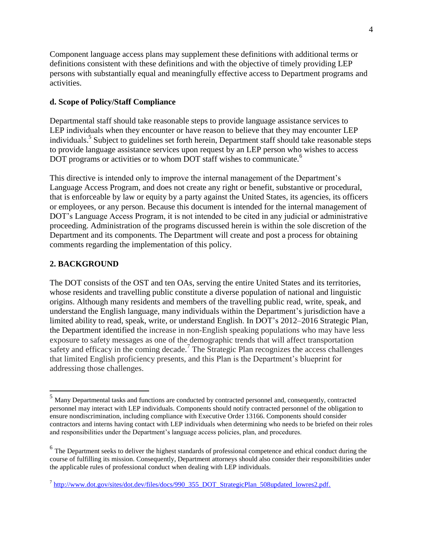Component language access plans may supplement these definitions with additional terms or definitions consistent with these definitions and with the objective of timely providing LEP persons with substantially equal and meaningfully effective access to Department programs and activities.

## **d. Scope of Policy/Staff Compliance**

Departmental staff should take reasonable steps to provide language assistance services to LEP individuals when they encounter or have reason to believe that they may encounter LEP individuals.<sup>5</sup> Subject to guidelines set forth herein, Department staff should take reasonable steps to provide language assistance services upon request by an LEP person who wishes to access DOT programs or activities or to whom DOT staff wishes to communicate.<sup>6</sup>

This directive is intended only to improve the internal management of the Department's Language Access Program, and does not create any right or benefit, substantive or procedural, that is enforceable by law or equity by a party against the United States, its agencies, its officers or employees, or any person. Because this document is intended for the internal management of DOT's Language Access Program, it is not intended to be cited in any judicial or administrative proceeding. Administration of the programs discussed herein is within the sole discretion of the Department and its components. The Department will create and post a process for obtaining comments regarding the implementation of this policy.

## **2. BACKGROUND**

 $\overline{a}$ 

The DOT consists of the OST and ten OAs, serving the entire United States and its territories, whose residents and travelling public constitute a diverse population of national and linguistic origins. Although many residents and members of the travelling public read, write, speak, and understand the English language, many individuals within the Department's jurisdiction have a limited ability to read, speak, write, or understand English. In DOT's 2012–2016 Strategic Plan, the Department identified the increase in non-English speaking populations who may have less exposure to safety messages as one of the demographic trends that will affect transportation safety and efficacy in the coming decade.<sup>7</sup> The Strategic Plan recognizes the access challenges that limited English proficiency presents, and this Plan is the Department's blueprint for addressing those challenges.

<sup>5</sup> Many Departmental tasks and functions are conducted by contracted personnel and, consequently, contracted personnel may interact with LEP individuals. Components should notify contracted personnel of the obligation to ensure nondiscrimination, including compliance with Executive Order 13166. Components should consider contractors and interns having contact with LEP individuals when determining who needs to be briefed on their roles and responsibilities under the Department's language access policies, plan, and procedures.

 $6$  The Department seeks to deliver the highest standards of professional competence and ethical conduct during the course of fulfilling its mission. Consequently, Department attorneys should also consider their responsibilities under the applicable rules of professional conduct when dealing with LEP individuals.

<sup>&</sup>lt;sup>7</sup> [http://www.dot.gov/sites/dot.dev/files/docs/990\\_355\\_DOT\\_StrategicPlan\\_508updated\\_lowres2.pdf.](http://www.dot.gov/sites/dot.dev/files/docs/990_355_DOT_StrategicPlan_508updated_lowres2.pdf)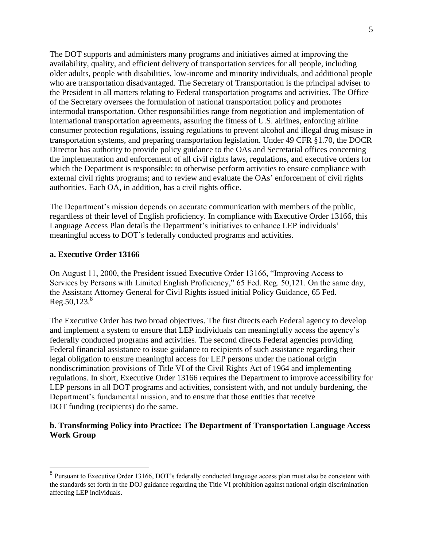The DOT supports and administers many programs and initiatives aimed at improving the availability, quality, and efficient delivery of transportation services for all people, including older adults, people with disabilities, low-income and minority individuals, and additional people who are transportation disadvantaged. The Secretary of Transportation is the principal adviser to the President in all matters relating to Federal transportation programs and activities. The Office of the Secretary oversees the formulation of national transportation policy and promotes intermodal transportation. Other responsibilities range from negotiation and implementation of international transportation agreements, assuring the fitness of U.S. airlines, enforcing airline consumer protection regulations, issuing regulations to prevent alcohol and illegal drug misuse in transportation systems, and preparing transportation legislation. Under 49 CFR §1.70, the DOCR Director has authority to provide policy guidance to the OAs and Secretarial offices concerning the implementation and enforcement of all civil rights laws, regulations, and executive orders for which the Department is responsible; to otherwise perform activities to ensure compliance with external civil rights programs; and to review and evaluate the OAs' enforcement of civil rights authorities. Each OA, in addition, has a civil rights office.

The Department's mission depends on accurate communication with members of the public, regardless of their level of English proficiency. In compliance with Executive Order 13166, this Language Access Plan details the Department's initiatives to enhance LEP individuals' meaningful access to DOT's federally conducted programs and activities.

### **a. Executive Order 13166**

 $\overline{a}$ 

On August 11, 2000, the President issued Executive Order 13166, "Improving Access to Services by Persons with Limited English Proficiency," 65 Fed. Reg. 50,121. On the same day, the Assistant Attorney General for Civil Rights issued initial Policy Guidance, 65 Fed.  $Reg.50,123.<sup>8</sup>$ 

The Executive Order has two broad objectives. The first directs each Federal agency to develop and implement a system to ensure that LEP individuals can meaningfully access the agency's federally conducted programs and activities. The second directs Federal agencies providing Federal financial assistance to issue guidance to recipients of such assistance regarding their legal obligation to ensure meaningful access for LEP persons under the national origin nondiscrimination provisions of Title VI of the Civil Rights Act of 1964 and implementing regulations. In short, Executive Order 13166 requires the Department to improve accessibility for LEP persons in all DOT programs and activities, consistent with, and not unduly burdening, the Department's fundamental mission, and to ensure that those entities that receive DOT funding (recipients) do the same.

### **b. Transforming Policy into Practice: The Department of Transportation Language Access Work Group**

 $8$  Pursuant to Executive Order 13166, DOT's federally conducted language access plan must also be consistent with the standards set forth in the DOJ guidance regarding the Title VI prohibition against national origin discrimination affecting LEP individuals.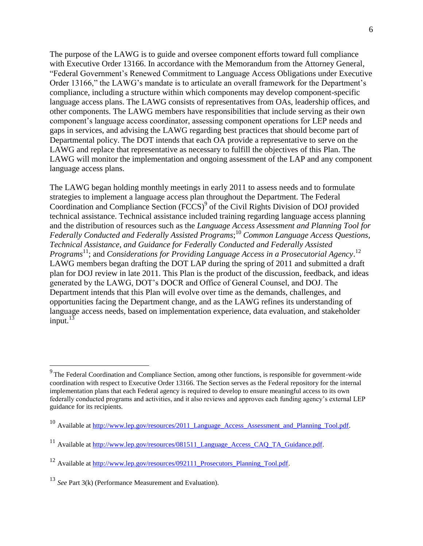The purpose of the LAWG is to guide and oversee component efforts toward full compliance with Executive Order 13166. In accordance with the Memorandum from the Attorney General, "Federal Government's Renewed Commitment to Language Access Obligations under Executive Order 13166," the LAWG's mandate is to articulate an overall framework for the Department's compliance, including a structure within which components may develop component-specific language access plans. The LAWG consists of representatives from OAs, leadership offices, and other components. The LAWG members have responsibilities that include serving as their own component's language access coordinator, assessing component operations for LEP needs and gaps in services, and advising the LAWG regarding best practices that should become part of Departmental policy. The DOT intends that each OA provide a representative to serve on the LAWG and replace that representative as necessary to fulfill the objectives of this Plan. The LAWG will monitor the implementation and ongoing assessment of the LAP and any component language access plans.

The LAWG began holding monthly meetings in early 2011 to assess needs and to formulate strategies to implement a language access plan throughout the Department. The Federal Coordination and Compliance Section (FCCS)<sup>9</sup> of the Civil Rights Division of DOJ provided technical assistance. Technical assistance included training regarding language access planning and the distribution of resources such as the *Language Access Assessment and Planning Tool for Federally Conducted and Federally Assisted Programs*; <sup>10</sup> *Common Language Access Questions, Technical Assistance, and Guidance for Federally Conducted and Federally Assisted*  Programs<sup>11</sup>; and *Considerations for Providing Language Access in a Prosecutorial Agency*.<sup>12</sup> LAWG members began drafting the DOT LAP during the spring of 2011 and submitted a draft plan for DOJ review in late 2011. This Plan is the product of the discussion, feedback, and ideas generated by the LAWG, DOT's DOCR and Office of General Counsel, and DOJ. The Department intends that this Plan will evolve over time as the demands, challenges, and opportunities facing the Department change, and as the LAWG refines its understanding of language access needs, based on implementation experience, data evaluation, and stakeholder input. $13$ 

 $9<sup>9</sup>$ The Federal Coordination and Compliance Section, among other functions, is responsible for government-wide coordination with respect to Executive Order 13166. The Section serves as the Federal repository for the internal implementation plans that each Federal agency is required to develop to ensure meaningful access to its own federally conducted programs and activities, and it also reviews and approves each funding agency's external LEP guidance for its recipients.

<sup>&</sup>lt;sup>10</sup> Available at http://www.lep.gov/resources/2011 Language Access Assessment and Planning Tool.pdf.

 $11$  Available at http://www.lep.gov/resources/081511 Language Access CAO TA Guidance.pdf.

<sup>&</sup>lt;sup>12</sup> Available at http://www.lep.gov/resources/092111 Prosecutors Planning Tool.pdf.

<sup>13</sup> *See* Part 3(k) (Performance Measurement and Evaluation).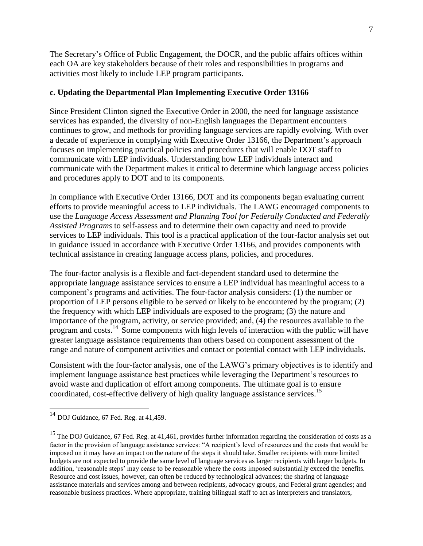The Secretary's Office of Public Engagement, the DOCR, and the public affairs offices within each OA are key stakeholders because of their roles and responsibilities in programs and activities most likely to include LEP program participants.

## **c. Updating the Departmental Plan Implementing Executive Order 13166**

Since President Clinton signed the Executive Order in 2000, the need for language assistance services has expanded, the diversity of non-English languages the Department encounters continues to grow, and methods for providing language services are rapidly evolving. With over a decade of experience in complying with Executive Order 13166, the Department's approach focuses on implementing practical policies and procedures that will enable DOT staff to communicate with LEP individuals. Understanding how LEP individuals interact and communicate with the Department makes it critical to determine which language access policies and procedures apply to DOT and to its components.

In compliance with Executive Order 13166, DOT and its components began evaluating current efforts to provide meaningful access to LEP individuals. The LAWG encouraged components to use the *Language Access Assessment and Planning Tool for Federally Conducted and Federally Assisted Programs* to self-assess and to determine their own capacity and need to provide services to LEP individuals. This tool is a practical application of the four-factor analysis set out in guidance issued in accordance with Executive Order 13166, and provides components with technical assistance in creating language access plans, policies, and procedures.

The four-factor analysis is a flexible and fact-dependent standard used to determine the appropriate language assistance services to ensure a LEP individual has meaningful access to a component's programs and activities. The four-factor analysis considers: (1) the number or proportion of LEP persons eligible to be served or likely to be encountered by the program; (2) the frequency with which LEP individuals are exposed to the program; (3) the nature and importance of the program, activity, or service provided; and, (4) the resources available to the program and costs.<sup>14</sup> Some components with high levels of interaction with the public will have greater language assistance requirements than others based on component assessment of the range and nature of component activities and contact or potential contact with LEP individuals.

Consistent with the four-factor analysis, one of the LAWG's primary objectives is to identify and implement language assistance best practices while leveraging the Department's resources to avoid waste and duplication of effort among components. The ultimate goal is to ensure coordinated, cost-effective delivery of high quality language assistance services.<sup>15</sup>

<sup>14</sup> DOJ Guidance*,* 67 Fed. Reg. at 41,459.

<sup>&</sup>lt;sup>15</sup> The DOJ Guidance, 67 Fed. Reg. at 41,461, provides further information regarding the consideration of costs as a factor in the provision of language assistance services: "A recipient's level of resources and the costs that would be imposed on it may have an impact on the nature of the steps it should take. Smaller recipients with more limited budgets are not expected to provide the same level of language services as larger recipients with larger budgets. In addition, 'reasonable steps' may cease to be reasonable where the costs imposed substantially exceed the benefits. Resource and cost issues, however, can often be reduced by technological advances; the sharing of language assistance materials and services among and between recipients, advocacy groups, and Federal grant agencies; and reasonable business practices. Where appropriate, training bilingual staff to act as interpreters and translators,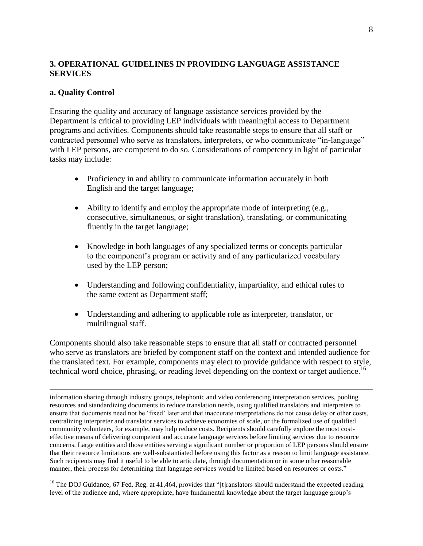## **3. OPERATIONAL GUIDELINES IN PROVIDING LANGUAGE ASSISTANCE SERVICES**

### **a. Quality Control**

 $\overline{a}$ 

Ensuring the quality and accuracy of language assistance services provided by the Department is critical to providing LEP individuals with meaningful access to Department programs and activities. Components should take reasonable steps to ensure that all staff or contracted personnel who serve as translators, interpreters, or who communicate "in-language" with LEP persons, are competent to do so. Considerations of competency in light of particular tasks may include:

- Proficiency in and ability to communicate information accurately in both English and the target language;
- Ability to identify and employ the appropriate mode of interpreting (e.g., consecutive, simultaneous, or sight translation), translating, or communicating fluently in the target language;
- Knowledge in both languages of any specialized terms or concepts particular to the component's program or activity and of any particularized vocabulary used by the LEP person;
- Understanding and following confidentiality, impartiality, and ethical rules to the same extent as Department staff;
- Understanding and adhering to applicable role as interpreter, translator, or multilingual staff.

Components should also take reasonable steps to ensure that all staff or contracted personnel who serve as translators are briefed by component staff on the context and intended audience for the translated text. For example, components may elect to provide guidance with respect to style, technical word choice, phrasing, or reading level depending on the context or target audience.<sup>16</sup>

<sup>16</sup> The DOJ Guidance, 67 Fed. Reg. at 41,464, provides that "[t]ranslators should understand the expected reading level of the audience and, where appropriate, have fundamental knowledge about the target language group's

information sharing through industry groups, telephonic and video conferencing interpretation services, pooling resources and standardizing documents to reduce translation needs, using qualified translators and interpreters to ensure that documents need not be 'fixed' later and that inaccurate interpretations do not cause delay or other costs, centralizing interpreter and translator services to achieve economies of scale, or the formalized use of qualified community volunteers, for example, may help reduce costs. Recipients should carefully explore the most costeffective means of delivering competent and accurate language services before limiting services due to resource concerns. Large entities and those entities serving a significant number or proportion of LEP persons should ensure that their resource limitations are well-substantiated before using this factor as a reason to limit language assistance. Such recipients may find it useful to be able to articulate, through documentation or in some other reasonable manner, their process for determining that language services would be limited based on resources or costs."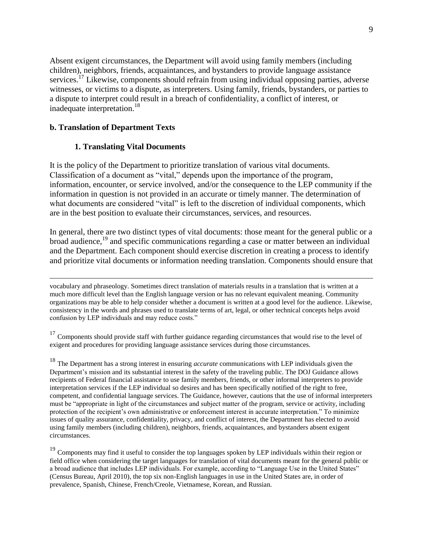Absent exigent circumstances, the Department will avoid using family members (including children), neighbors, friends, acquaintances, and bystanders to provide language assistance services.<sup>17</sup> Likewise, components should refrain from using individual opposing parties, adverse witnesses, or victims to a dispute, as interpreters. Using family, friends, bystanders, or parties to a dispute to interpret could result in a breach of confidentiality, a conflict of interest, or inadequate interpretation.<sup>18</sup>

### **b. Translation of Department Texts**

 $\overline{a}$ 

### **1. Translating Vital Documents**

It is the policy of the Department to prioritize translation of various vital documents. Classification of a document as "vital," depends upon the importance of the program, information, encounter, or service involved, and/or the consequence to the LEP community if the information in question is not provided in an accurate or timely manner. The determination of what documents are considered "vital" is left to the discretion of individual components, which are in the best position to evaluate their circumstances, services, and resources.

In general, there are two distinct types of vital documents: those meant for the general public or a broad audience,<sup>19</sup> and specific communications regarding a case or matter between an individual and the Department. Each component should exercise discretion in creating a process to identify and prioritize vital documents or information needing translation. Components should ensure that

vocabulary and phraseology. Sometimes direct translation of materials results in a translation that is written at a much more difficult level than the English language version or has no relevant equivalent meaning. Community organizations may be able to help consider whether a document is written at a good level for the audience. Likewise, consistency in the words and phrases used to translate terms of art, legal, or other technical concepts helps avoid confusion by LEP individuals and may reduce costs."

 $17$  Components should provide staff with further guidance regarding circumstances that would rise to the level of exigent and procedures for providing language assistance services during those circumstances.

<sup>18</sup> The Department has a strong interest in ensuring *accurate* communications with LEP individuals given the Department's mission and its substantial interest in the safety of the traveling public. The DOJ Guidance allows recipients of Federal financial assistance to use family members, friends, or other informal interpreters to provide interpretation services if the LEP individual so desires and has been specifically notified of the right to free, competent, and confidential language services. The Guidance, however, cautions that the use of informal interpreters must be "appropriate in light of the circumstances and subject matter of the program, service or activity, including protection of the recipient's own administrative or enforcement interest in accurate interpretation." To minimize issues of quality assurance, confidentiality, privacy, and conflict of interest, the Department has elected to avoid using family members (including children), neighbors, friends, acquaintances, and bystanders absent exigent circumstances.

<sup>19</sup> Components may find it useful to consider the top languages spoken by LEP individuals within their region or field office when considering the target languages for translation of vital documents meant for the general public or a broad audience that includes LEP individuals. For example, according to "Language Use in the United States" (Census Bureau, April 2010), the top six non-English languages in use in the United States are, in order of prevalence, Spanish, Chinese, French/Creole, Vietnamese, Korean, and Russian.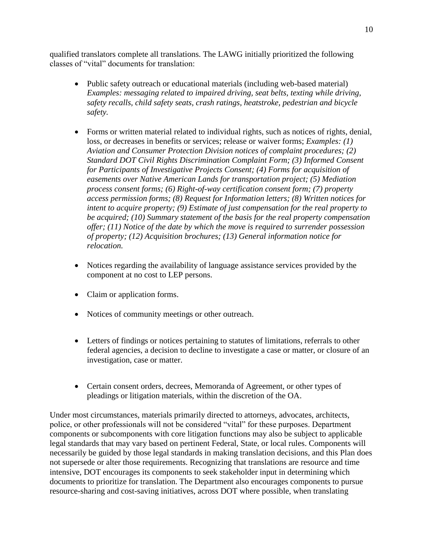qualified translators complete all translations. The LAWG initially prioritized the following classes of "vital" documents for translation:

- Public safety outreach or educational materials (including web-based material) *Examples: messaging related to impaired driving, seat belts, texting while driving, safety recalls, child safety seats, crash ratings, heatstroke, pedestrian and bicycle safety.*
- Forms or written material related to individual rights, such as notices of rights, denial, loss, or decreases in benefits or services; release or waiver forms; *Examples: (1) Aviation and Consumer Protection Division notices of complaint procedures; (2) Standard DOT Civil Rights Discrimination Complaint Form; (3) Informed Consent for Participants of Investigative Projects Consent; (4) Forms for acquisition of easements over Native American Lands for transportation project; (5) Mediation process consent forms; (6) Right-of-way certification consent form; (7) property access permission forms; (8) Request for Information letters; (8) Written notices for intent to acquire property; (9) Estimate of just compensation for the real property to be acquired; (10) Summary statement of the basis for the real property compensation offer; (11) Notice of the date by which the move is required to surrender possession of property; (12) Acquisition brochures; (13) General information notice for relocation.*
- Notices regarding the availability of language assistance services provided by the component at no cost to LEP persons.
- Claim or application forms.
- Notices of community meetings or other outreach.
- Letters of findings or notices pertaining to statutes of limitations, referrals to other federal agencies, a decision to decline to investigate a case or matter, or closure of an investigation, case or matter.
- Certain consent orders, decrees, Memoranda of Agreement, or other types of pleadings or litigation materials, within the discretion of the OA.

Under most circumstances, materials primarily directed to attorneys, advocates, architects, police, or other professionals will not be considered "vital" for these purposes. Department components or subcomponents with core litigation functions may also be subject to applicable legal standards that may vary based on pertinent Federal, State, or local rules. Components will necessarily be guided by those legal standards in making translation decisions, and this Plan does not supersede or alter those requirements. Recognizing that translations are resource and time intensive, DOT encourages its components to seek stakeholder input in determining which documents to prioritize for translation. The Department also encourages components to pursue resource-sharing and cost-saving initiatives, across DOT where possible, when translating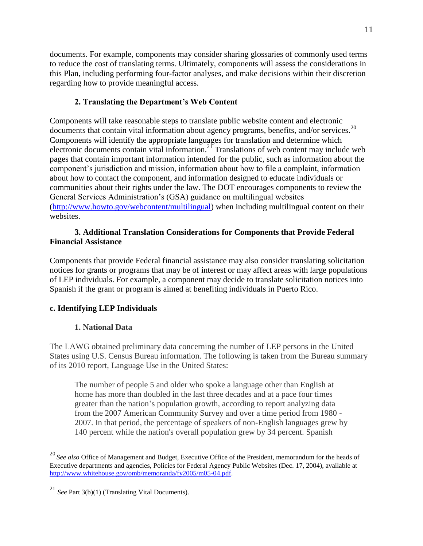documents. For example, components may consider sharing glossaries of commonly used terms to reduce the cost of translating terms. Ultimately, components will assess the considerations in this Plan, including performing four-factor analyses, and make decisions within their discretion regarding how to provide meaningful access.

## **2. Translating the Department's Web Content**

Components will take reasonable steps to translate public website content and electronic documents that contain vital information about agency programs, benefits, and/or services.<sup>20</sup> Components will identify the appropriate languages for translation and determine which electronic documents contain vital information.<sup>21</sup> Translations of web content may include web pages that contain important information intended for the public, such as information about the component's jurisdiction and mission, information about how to file a complaint, information about how to contact the component, and information designed to educate individuals or communities about their rights under the law. The DOT encourages components to review the General Services Administration's (GSA) guidance on multilingual websites [\(http://www.howto.gov/webcontent/multilingual\)](http://www.howto.gov/webcontent/multilingual) when including multilingual content on their websites.

## **3. Additional Translation Considerations for Components that Provide Federal Financial Assistance**

Components that provide Federal financial assistance may also consider translating solicitation notices for grants or programs that may be of interest or may affect areas with large populations of LEP individuals. For example, a component may decide to translate solicitation notices into Spanish if the grant or program is aimed at benefiting individuals in Puerto Rico.

## **c. Identifying LEP Individuals**

## **1. National Data**

 $\overline{a}$ 

The LAWG obtained preliminary data concerning the number of LEP persons in the United States using U.S. Census Bureau information. The following is taken from the Bureau summary of its 2010 report, Language Use in the United States:

The number of people 5 and older who spoke a language other than English at home has more than doubled in the last three decades and at a pace four times greater than the nation's population growth, according to report analyzing data from the 2007 American Community Survey and over a time period from 1980 - 2007. In that period, the percentage of speakers of non-English languages grew by 140 percent while the nation's overall population grew by 34 percent. Spanish

<sup>20</sup> *See also* Office of Management and Budget, Executive Office of the President, memorandum for the heads of Executive departments and agencies, Policies for Federal Agency Public Websites (Dec. 17, 2004), available at [http://www.whitehouse.gov/omb/memoranda/fy2005/m05-04.pdf.](http://www.whitehouse.gov/omb/memoranda/fy2005/m05-04.pdf)

<sup>21</sup> *See* Part 3(b)(1) (Translating Vital Documents).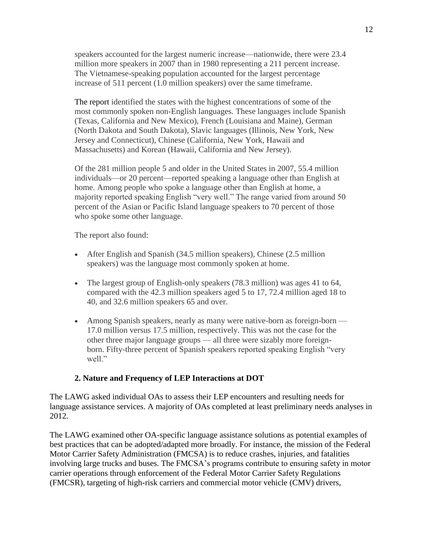speakers accounted for the largest numeric increase—nationwide, there were 23.4 million more speakers in 2007 than in 1980 representing a 211 percent increase. The Vietnamese-speaking population accounted for the largest percentage increase of 511 percent (1.0 million speakers) over the same timeframe.

The report identified the states with the highest concentrations of some of the most commonly spoken non-English languages. These languages include Spanish (Texas, California and New Mexico), French (Louisiana and Maine), German (North Dakota and South Dakota), Slavic languages (Illinois, New York, New Jersey and Connecticut), Chinese (California, New York, Hawaii and Massachusetts) and Korean (Hawaii, California and New Jersey).

Of the 281 million people 5 and older in the United States in 2007, 55.4 million individuals—or 20 percent—reported speaking a language other than English at home. Among people who spoke a language other than English at home, a majority reported speaking English "very well." The range varied from around 50 percent of the Asian or Pacific Island language speakers to 70 percent of those who spoke some other language.

The report also found:

- After English and Spanish (34.5 million speakers), Chinese (2.5 million speakers) was the language most commonly spoken at home.
- The largest group of English-only speakers (78.3 million) was ages 41 to 64, compared with the 42.3 million speakers aged 5 to 17, 72.4 million aged 18 to 40, and 32.6 million speakers 65 and over.
- Among Spanish speakers, nearly as many were native-born as foreign-born 17.0 million versus 17.5 million, respectively. This was not the case for the other three major language groups — all three were sizably more foreignborn. Fifty-three percent of Spanish speakers reported speaking English "very well."

#### **2. Nature and Frequency of LEP Interactions at DOT**

The LAWG asked individual OAs to assess their LEP encounters and resulting needs for language assistance services. A majority of OAs completed at least preliminary needs analyses in 2012.

The LAWG examined other OA-specific language assistance solutions as potential examples of best practices that can be adopted/adapted more broadly. For instance, the mission of the Federal Motor Carrier Safety Administration (FMCSA) is to reduce crashes, injuries, and fatalities involving large trucks and buses. The FMCSA's programs contribute to ensuring safety in motor carrier operations through enforcement of the Federal Motor Carrier Safety Regulations (FMCSR), targeting of high-risk carriers and commercial motor vehicle (CMV) drivers,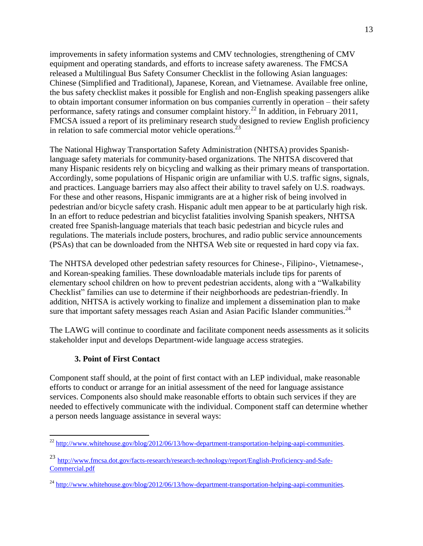improvements in safety information systems and CMV technologies, strengthening of CMV equipment and operating standards, and efforts to increase safety awareness. The FMCSA released a Multilingual Bus Safety Consumer Checklist in the following Asian languages: Chinese (Simplified and Traditional), Japanese, Korean, and Vietnamese. Available free [online,](http://www.fmcsa.dot.gov/safety-security/pcs/index.aspx) the bus safety checklist makes it possible for English and non-English speaking passengers alike to obtain important consumer information on bus companies currently in operation – their safety performance, safety ratings and consumer complaint history.<sup>22</sup> In addition, in February 2011, FMCSA issued a report of its preliminary research study designed to review English proficiency in relation to safe commercial motor vehicle operations. $^{23}$ 

The National Highway Transportation Safety Administration (NHTSA) provides Spanishlanguage safety materials for community-based organizations. The NHTSA discovered that many Hispanic residents rely on bicycling and walking as their primary means of transportation. Accordingly, some populations of Hispanic origin are unfamiliar with U.S. traffic signs, signals, and practices. Language barriers may also affect their ability to travel safely on U.S. roadways. For these and other reasons, Hispanic immigrants are at a higher risk of being involved in pedestrian and/or bicycle safety crash. Hispanic adult men appear to be at particularly high risk. In an effort to reduce pedestrian and bicyclist fatalities involving Spanish speakers, NHTSA created free Spanish-language materials that teach basic pedestrian and bicycle rules and regulations. The materials include posters, brochures, and radio public service announcements (PSAs) that can be downloaded from the NHTSA Web site or requested in hard copy via fax.

The NHTSA developed other pedestrian safety resources for Chinese-, Filipino-, Vietnamese-, and Korean-speaking families. These downloadable materials include tips for parents of elementary school children on how to prevent pedestrian accidents, along with a "Walkability Checklist" families can use to determine if their neighborhoods are pedestrian-friendly. In addition, NHTSA is actively working to finalize and implement a dissemination plan to make sure that important safety messages reach Asian and Asian Pacific Islander communities.<sup>24</sup>

The LAWG will continue to coordinate and facilitate component needs assessments as it solicits stakeholder input and develops Department-wide language access strategies.

## **3. Point of First Contact**

 $\overline{a}$ 

Component staff should, at the point of first contact with an LEP individual, make reasonable efforts to conduct or arrange for an initial assessment of the need for language assistance services. Components also should make reasonable efforts to obtain such services if they are needed to effectively communicate with the individual. Component staff can determine whether a person needs language assistance in several ways:

 $^{22}$  [http://www.whitehouse.gov/blog/2012/06/13/how-department-transportation-helping-aapi-communities.](http://www.whitehouse.gov/blog/2012/06/13/how-department-transportation-helping-aapi-communities)

<sup>&</sup>lt;sup>23</sup> [http://www.fmcsa.dot.gov/facts-research/research-technology/report/English-Proficiency-and-Safe-](http://www.fmcsa.dot.gov/facts-research/research-technology/report/English-Proficiency-and-Safe-Commercial.pdf)[Commercial.pdf](http://www.fmcsa.dot.gov/facts-research/research-technology/report/English-Proficiency-and-Safe-Commercial.pdf)

 $^{24}$  [http://www.whitehouse.gov/blog/2012/06/13/how-department-transportation-helping-aapi-communities.](http://www.whitehouse.gov/blog/2012/06/13/how-department-transportation-helping-aapi-communities)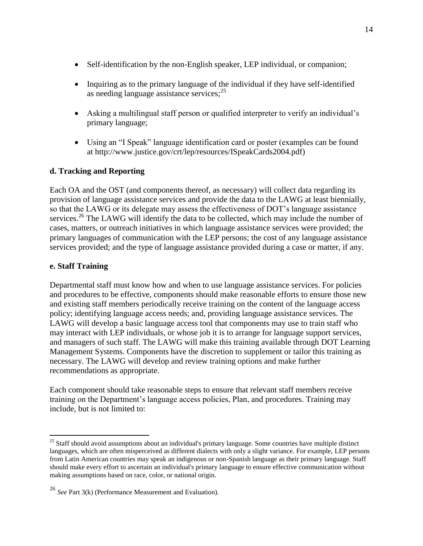- Self-identification by the non-English speaker, LEP individual, or companion;
- Inquiring as to the primary language of the individual if they have self-identified as needing language assistance services; $^{25}$
- Asking a multilingual staff person or qualified interpreter to verify an individual's primary language;
- Using an "I Speak" language identification card or poster (examples can be found at http://www.justice.gov/crt/lep/resources/ISpeakCards2004.pdf)

## **d. Tracking and Reporting**

Each OA and the OST (and components thereof, as necessary) will collect data regarding its provision of language assistance services and provide the data to the LAWG at least biennially, so that the LAWG or its delegate may assess the effectiveness of DOT's language assistance services.<sup>26</sup> The LAWG will identify the data to be collected, which may include the number of cases, matters, or outreach initiatives in which language assistance services were provided; the primary languages of communication with the LEP persons; the cost of any language assistance services provided; and the type of language assistance provided during a case or matter, if any.

## **e. Staff Training**

 $\overline{a}$ 

Departmental staff must know how and when to use language assistance services. For policies and procedures to be effective, components should make reasonable efforts to ensure those new and existing staff members periodically receive training on the content of the language access policy; identifying language access needs; and, providing language assistance services. The LAWG will develop a basic language access tool that components may use to train staff who may interact with LEP individuals, or whose job it is to arrange for language support services, and managers of such staff. The LAWG will make this training available through DOT Learning Management Systems. Components have the discretion to supplement or tailor this training as necessary. The LAWG will develop and review training options and make further recommendations as appropriate.

Each component should take reasonable steps to ensure that relevant staff members receive training on the Department's language access policies, Plan, and procedures. Training may include, but is not limited to:

 $25$  Staff should avoid assumptions about an individual's primary language. Some countries have multiple distinct languages, which are often misperceived as different dialects with only a slight variance. For example, LEP persons from Latin American countries may speak an indigenous or non-Spanish language as their primary language. Staff should make every effort to ascertain an individual's primary language to ensure effective communication without making assumptions based on race, color, or national origin.

<sup>26</sup> *See* Part 3(k) (Performance Measurement and Evaluation).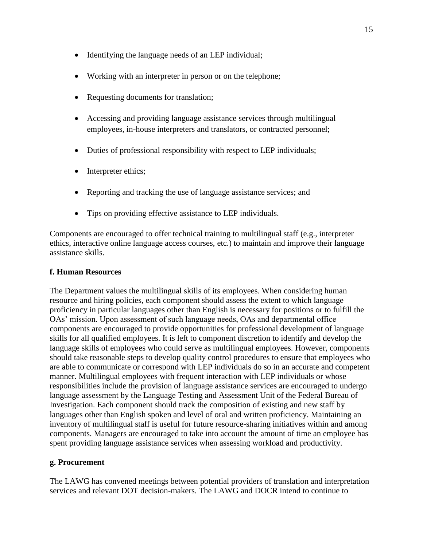- Identifying the language needs of an LEP individual;
- Working with an interpreter in person or on the telephone;
- Requesting documents for translation;
- Accessing and providing language assistance services through multilingual employees, in-house interpreters and translators, or contracted personnel;
- Duties of professional responsibility with respect to LEP individuals;
- Interpreter ethics;
- Reporting and tracking the use of language assistance services; and
- Tips on providing effective assistance to LEP individuals.

Components are encouraged to offer technical training to multilingual staff (e.g., interpreter ethics, interactive online language access courses, etc.) to maintain and improve their language assistance skills.

### **f. Human Resources**

The Department values the multilingual skills of its employees. When considering human resource and hiring policies, each component should assess the extent to which language proficiency in particular languages other than English is necessary for positions or to fulfill the OAs' mission. Upon assessment of such language needs, OAs and departmental office components are encouraged to provide opportunities for professional development of language skills for all qualified employees. It is left to component discretion to identify and develop the language skills of employees who could serve as multilingual employees. However, components should take reasonable steps to develop quality control procedures to ensure that employees who are able to communicate or correspond with LEP individuals do so in an accurate and competent manner. Multilingual employees with frequent interaction with LEP individuals or whose responsibilities include the provision of language assistance services are encouraged to undergo language assessment by the Language Testing and Assessment Unit of the Federal Bureau of Investigation. Each component should track the composition of existing and new staff by languages other than English spoken and level of oral and written proficiency. Maintaining an inventory of multilingual staff is useful for future resource-sharing initiatives within and among components. Managers are encouraged to take into account the amount of time an employee has spent providing language assistance services when assessing workload and productivity.

## **g. Procurement**

The LAWG has convened meetings between potential providers of translation and interpretation services and relevant DOT decision-makers. The LAWG and DOCR intend to continue to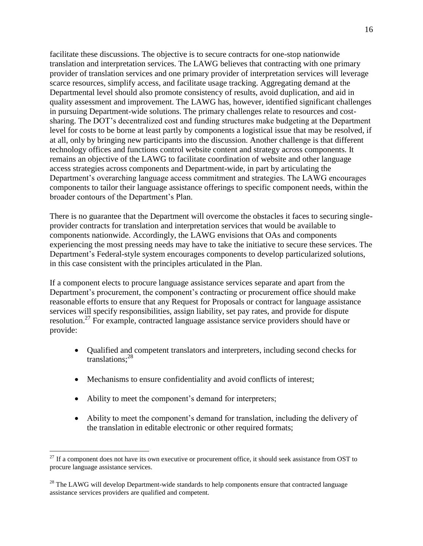facilitate these discussions. The objective is to secure contracts for one-stop nationwide translation and interpretation services. The LAWG believes that contracting with one primary provider of translation services and one primary provider of interpretation services will leverage scarce resources, simplify access, and facilitate usage tracking. Aggregating demand at the Departmental level should also promote consistency of results, avoid duplication, and aid in quality assessment and improvement. The LAWG has, however, identified significant challenges in pursuing Department-wide solutions. The primary challenges relate to resources and costsharing. The DOT's decentralized cost and funding structures make budgeting at the Department level for costs to be borne at least partly by components a logistical issue that may be resolved, if at all, only by bringing new participants into the discussion. Another challenge is that different technology offices and functions control website content and strategy across components. It remains an objective of the LAWG to facilitate coordination of website and other language access strategies across components and Department-wide, in part by articulating the Department's overarching language access commitment and strategies. The LAWG encourages components to tailor their language assistance offerings to specific component needs, within the broader contours of the Department's Plan.

There is no guarantee that the Department will overcome the obstacles it faces to securing singleprovider contracts for translation and interpretation services that would be available to components nationwide. Accordingly, the LAWG envisions that OAs and components experiencing the most pressing needs may have to take the initiative to secure these services. The Department's Federal-style system encourages components to develop particularized solutions, in this case consistent with the principles articulated in the Plan.

If a component elects to procure language assistance services separate and apart from the Department's procurement, the component's contracting or procurement office should make reasonable efforts to ensure that any Request for Proposals or contract for language assistance services will specify responsibilities, assign liability, set pay rates, and provide for dispute resolution.<sup>27</sup> For example, contracted language assistance service providers should have or provide:

- Qualified and competent translators and interpreters, including second checks for translations:<sup>28</sup>
- Mechanisms to ensure confidentiality and avoid conflicts of interest;
- Ability to meet the component's demand for interpreters;

 $\overline{a}$ 

 Ability to meet the component's demand for translation, including the delivery of the translation in editable electronic or other required formats;

 $27$  If a component does not have its own executive or procurement office, it should seek assistance from OST to procure language assistance services.

<sup>&</sup>lt;sup>28</sup> The LAWG will develop Department-wide standards to help components ensure that contracted language assistance services providers are qualified and competent.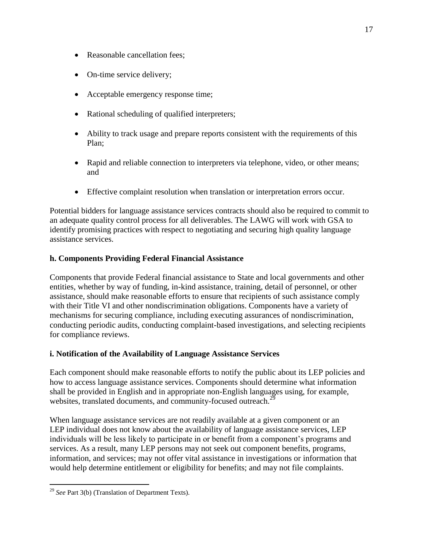- Reasonable cancellation fees;
- On-time service delivery;
- Acceptable emergency response time;
- Rational scheduling of qualified interpreters;
- Ability to track usage and prepare reports consistent with the requirements of this Plan;
- Rapid and reliable connection to interpreters via telephone, video, or other means; and
- Effective complaint resolution when translation or interpretation errors occur.

Potential bidders for language assistance services contracts should also be required to commit to an adequate quality control process for all deliverables. The LAWG will work with GSA to identify promising practices with respect to negotiating and securing high quality language assistance services.

## **h. Components Providing Federal Financial Assistance**

Components that provide Federal financial assistance to State and local governments and other entities, whether by way of funding, in-kind assistance, training, detail of personnel, or other assistance, should make reasonable efforts to ensure that recipients of such assistance comply with their Title VI and other nondiscrimination obligations. Components have a variety of mechanisms for securing compliance, including executing assurances of nondiscrimination, conducting periodic audits, conducting complaint-based investigations, and selecting recipients for compliance reviews.

## **i. Notification of the Availability of Language Assistance Services**

Each component should make reasonable efforts to notify the public about its LEP policies and how to access language assistance services. Components should determine what information shall be provided in English and in appropriate non-English languages using, for example, websites, translated documents, and community-focused outreach.<sup>29</sup>

When language assistance services are not readily available at a given component or an LEP individual does not know about the availability of language assistance services, LEP individuals will be less likely to participate in or benefit from a component's programs and services. As a result, many LEP persons may not seek out component benefits, programs, information, and services; may not offer vital assistance in investigations or information that would help determine entitlement or eligibility for benefits; and may not file complaints.

<sup>29</sup> *See* Part 3(b) (Translation of Department Texts).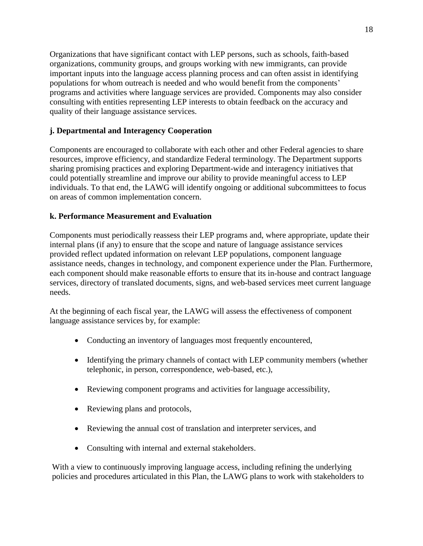Organizations that have significant contact with LEP persons, such as schools, faith-based organizations, community groups, and groups working with new immigrants, can provide important inputs into the language access planning process and can often assist in identifying populations for whom outreach is needed and who would benefit from the components' programs and activities where language services are provided. Components may also consider consulting with entities representing LEP interests to obtain feedback on the accuracy and quality of their language assistance services.

## **j. Departmental and Interagency Cooperation**

Components are encouraged to collaborate with each other and other Federal agencies to share resources, improve efficiency, and standardize Federal terminology. The Department supports sharing promising practices and exploring Department-wide and interagency initiatives that could potentially streamline and improve our ability to provide meaningful access to LEP individuals. To that end, the LAWG will identify ongoing or additional subcommittees to focus on areas of common implementation concern.

## **k. Performance Measurement and Evaluation**

Components must periodically reassess their LEP programs and, where appropriate, update their internal plans (if any) to ensure that the scope and nature of language assistance services provided reflect updated information on relevant LEP populations, component language assistance needs, changes in technology, and component experience under the Plan. Furthermore, each component should make reasonable efforts to ensure that its in-house and contract language services, directory of translated documents, signs, and web-based services meet current language needs.

At the beginning of each fiscal year, the LAWG will assess the effectiveness of component language assistance services by, for example:

- Conducting an inventory of languages most frequently encountered,
- Identifying the primary channels of contact with LEP community members (whether telephonic, in person, correspondence, web-based, etc.),
- Reviewing component programs and activities for language accessibility,
- Reviewing plans and protocols,
- Reviewing the annual cost of translation and interpreter services, and
- Consulting with internal and external stakeholders.

With a view to continuously improving language access, including refining the underlying policies and procedures articulated in this Plan, the LAWG plans to work with stakeholders to